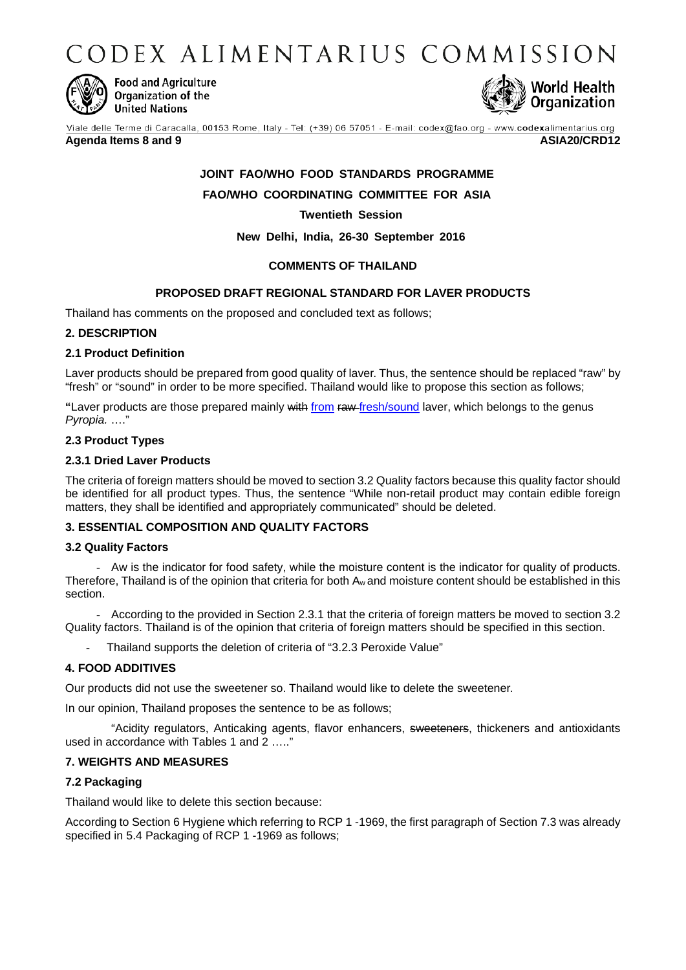CODEX ALIMENTARIUS COMMISSION



**Food and Agriculture** Organization of the **United Nations** 



Viale delle Terme di Caracalla, 00153 Rome, Italy - Tel: (+39) 06 57051 - E-mail: codex@fao.org - www.codexalimentarius.org

# **Agenda Items 8 and 9 ASIA20/CRD12**

# **JOINT FAO/WHO FOOD STANDARDS PROGRAMME**

**FAO/WHO COORDINATING COMMITTEE FOR ASIA**

**Twentieth Session**

**New Delhi, India, 26-30 September 2016**

# **COMMENTS OF THAILAND**

# **PROPOSED DRAFT REGIONAL STANDARD FOR LAVER PRODUCTS**

Thailand has comments on the proposed and concluded text as follows;

### **2. DESCRIPTION**

# **2.1 Product Definition**

Laver products should be prepared from good quality of laver. Thus, the sentence should be replaced "raw" by "fresh" or "sound" in order to be more specified. Thailand would like to propose this section as follows;

**"**Laver products are those prepared mainly with from raw fresh/sound laver, which belongs to the genus *Pyropia.* …."

# **2.3 Product Types**

# **2.3.1 Dried Laver Products**

The criteria of foreign matters should be moved to section 3.2 Quality factors because this quality factor should be identified for all product types. Thus, the sentence "While non-retail product may contain edible foreign matters, they shall be identified and appropriately communicated" should be deleted.

# **3. ESSENTIAL COMPOSITION AND QUALITY FACTORS**

### **3.2 Quality Factors**

- Aw is the indicator for food safety, while the moisture content is the indicator for quality of products. Therefore, Thailand is of the opinion that criteria for both Aw and moisture content should be established in this section.

- According to the provided in Section 2.3.1 that the criteria of foreign matters be moved to section 3.2 Quality factors. Thailand is of the opinion that criteria of foreign matters should be specified in this section.

Thailand supports the deletion of criteria of "3.2.3 Peroxide Value"

# **4. FOOD ADDITIVES**

Our products did not use the sweetener so. Thailand would like to delete the sweetener.

In our opinion, Thailand proposes the sentence to be as follows;

"Acidity regulators, Anticaking agents, flavor enhancers, sweeteners, thickeners and antioxidants used in accordance with Tables 1 and 2 ….."

# **7. WEIGHTS AND MEASURES**

# **7.2 Packaging**

Thailand would like to delete this section because:

According to Section 6 Hygiene which referring to RCP 1 -1969, the first paragraph of Section 7.3 was already specified in 5.4 Packaging of RCP 1 -1969 as follows;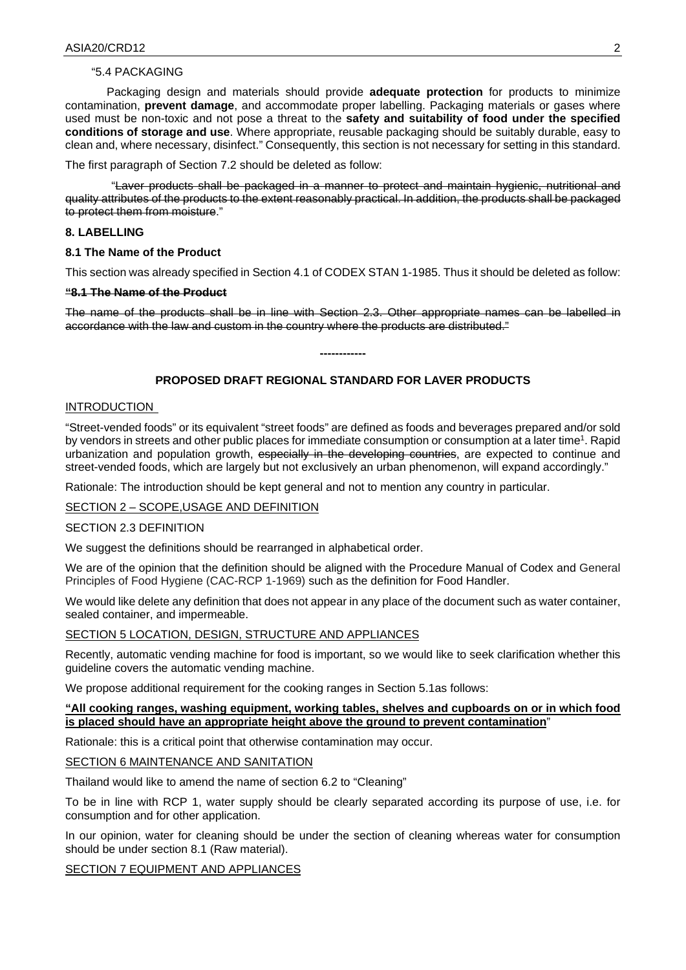# "5.4 PACKAGING

Packaging design and materials should provide **adequate protection** for products to minimize contamination, **prevent damage**, and accommodate proper labelling. Packaging materials or gases where used must be non-toxic and not pose a threat to the **safety and suitability of food under the specified conditions of storage and use**. Where appropriate, reusable packaging should be suitably durable, easy to clean and, where necessary, disinfect." Consequently, this section is not necessary for setting in this standard.

The first paragraph of Section 7.2 should be deleted as follow:

"Laver products shall be packaged in a manner to protect and maintain hygienic, nutritional and quality attributes of the products to the extent reasonably practical. In addition, the products shall be packaged to protect them from moisture."

### **8. LABELLING**

#### **8.1 The Name of the Product**

This section was already specified in Section 4.1 of CODEX STAN 1-1985. Thus it should be deleted as follow:

#### **"8.1 The Name of the Product**

The name of the products shall be in line with Section 2.3. Other appropriate names can be labelled in accordance with the law and custom in the country where the products are distributed."

# **PROPOSED DRAFT REGIONAL STANDARD FOR LAVER PRODUCTS**

**------------**

#### INTRODUCTION

"Street-vended foods" or its equivalent "street foods" are defined as foods and beverages prepared and/or sold by vendors in streets and other public places for immediate consumption or consumption at a later time1. Rapid urbanization and population growth, especially in the developing countries, are expected to continue and street-vended foods, which are largely but not exclusively an urban phenomenon, will expand accordingly."

Rationale: The introduction should be kept general and not to mention any country in particular.

### SECTION 2 – SCOPE,USAGE AND DEFINITION

## SECTION 2.3 DEFINITION

We suggest the definitions should be rearranged in alphabetical order.

We are of the opinion that the definition should be aligned with the Procedure Manual of Codex and General Principles of Food Hygiene (CAC-RCP 1-1969) such as the definition for Food Handler.

We would like delete any definition that does not appear in any place of the document such as water container, sealed container, and impermeable.

#### SECTION 5 LOCATION, DESIGN, STRUCTURE AND APPLIANCES

Recently, automatic vending machine for food is important, so we would like to seek clarification whether this guideline covers the automatic vending machine.

We propose additional requirement for the cooking ranges in Section 5.1as follows:

### **"All cooking ranges, washing equipment, working tables, shelves and cupboards on or in which food is placed should have an appropriate height above the ground to prevent contamination**"

Rationale: this is a critical point that otherwise contamination may occur.

### SECTION 6 MAINTENANCE AND SANITATION

Thailand would like to amend the name of section 6.2 to "Cleaning"

To be in line with RCP 1, water supply should be clearly separated according its purpose of use, i.e. for consumption and for other application.

In our opinion, water for cleaning should be under the section of cleaning whereas water for consumption should be under section 8.1 (Raw material).

SECTION 7 EQUIPMENT AND APPLIANCES